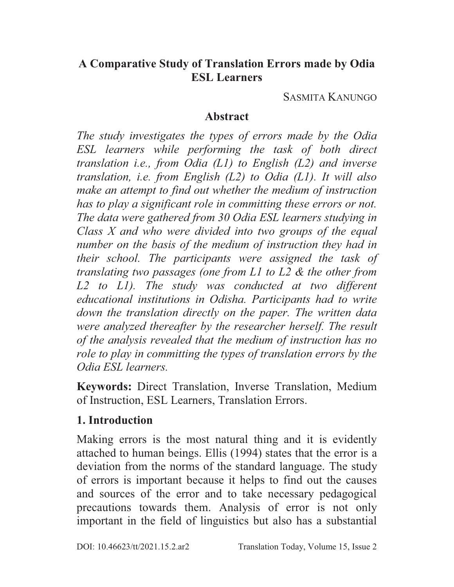#### **A Comparative Study of Translation Errors made by Odia ESL Learners**

SASMITA KANUNGO

#### **Abstract**

*The study investigates the types of errors made by the Odia ESL learners while performing the task of both direct translation i.e., from Odia (L1) to English (L2) and inverse translation, i.e. from English (L2) to Odia (L1). It will also make an attempt to find out whether the medium of instruction has to play a significant role in committing these errors or not. The data were gathered from 30 Odia ESL learners studying in Class X and who were divided into two groups of the equal number on the basis of the medium of instruction they had in their school. The participants were assigned the task of translating two passages (one from L1 to L2 & the other from*  L<sub>2</sub> to L<sub>1</sub>). The study was conducted at two different *educational institutions in Odisha. Participants had to write down the translation directly on the paper. The written data were analyzed thereafter by the researcher herself. The result of the analysis revealed that the medium of instruction has no role to play in committing the types of translation errors by the Odia ESL learners.* 

**Keywords:** Direct Translation, Inverse Translation, Medium of Instruction, ESL Learners, Translation Errors.

## **1. Introduction**

Making errors is the most natural thing and it is evidently attached to human beings. Ellis (1994) states that the error is a deviation from the norms of the standard language. The study of errors is important because it helps to find out the causes and sources of the error and to take necessary pedagogical precautions towards them. Analysis of error is not only important in the field of linguistics but also has a substantial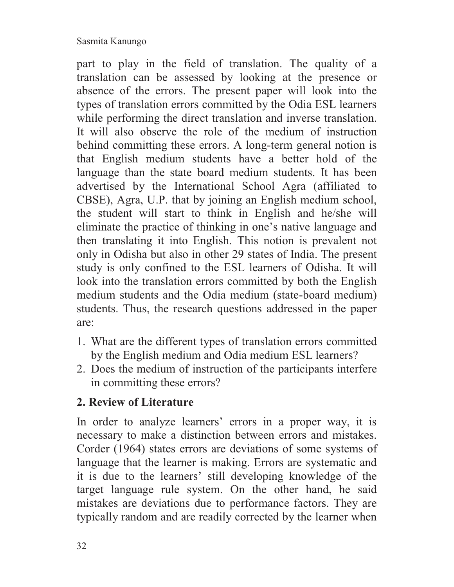part to play in the field of translation. The quality of a translation can be assessed by looking at the presence or absence of the errors. The present paper will look into the types of translation errors committed by the Odia ESL learners while performing the direct translation and inverse translation. It will also observe the role of the medium of instruction behind committing these errors. A long-term general notion is that English medium students have a better hold of the language than the state board medium students. It has been advertised by the International School Agra (affiliated to CBSE), Agra, U.P. that by joining an English medium school, the student will start to think in English and he/she will eliminate the practice of thinking in one's native language and then translating it into English. This notion is prevalent not only in Odisha but also in other 29 states of India. The present study is only confined to the ESL learners of Odisha. It will look into the translation errors committed by both the English medium students and the Odia medium (state-board medium) students. Thus, the research questions addressed in the paper are:

- 1. What are the different types of translation errors committed by the English medium and Odia medium ESL learners?
- 2. Does the medium of instruction of the participants interfere in committing these errors?

# **2. Review of Literature**

In order to analyze learners' errors in a proper way, it is necessary to make a distinction between errors and mistakes. Corder (1964) states errors are deviations of some systems of language that the learner is making. Errors are systematic and it is due to the learners' still developing knowledge of the target language rule system. On the other hand, he said mistakes are deviations due to performance factors. They are typically random and are readily corrected by the learner when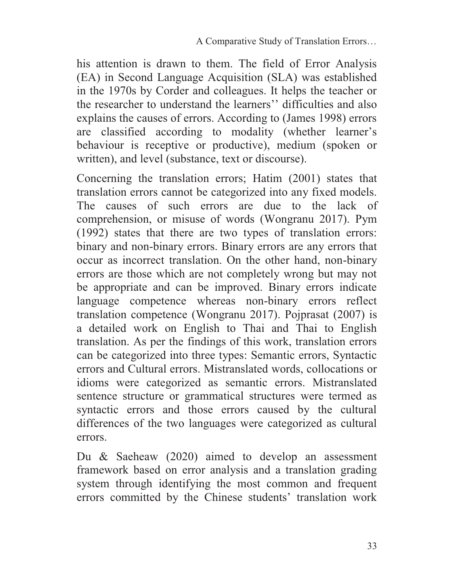his attention is drawn to them. The field of Error Analysis (EA) in Second Language Acquisition (SLA) was established in the 1970s by Corder and colleagues. It helps the teacher or the researcher to understand the learners'' difficulties and also explains the causes of errors. According to (James 1998) errors are classified according to modality (whether learner's behaviour is receptive or productive), medium (spoken or written), and level (substance, text or discourse).

Concerning the translation errors; Hatim (2001) states that translation errors cannot be categorized into any fixed models. The causes of such errors are due to the lack of comprehension, or misuse of words (Wongranu 2017). Pym (1992) states that there are two types of translation errors: binary and non-binary errors. Binary errors are any errors that occur as incorrect translation. On the other hand, non-binary errors are those which are not completely wrong but may not be appropriate and can be improved. Binary errors indicate language competence whereas non-binary errors reflect translation competence (Wongranu 2017). Pojprasat (2007) is a detailed work on English to Thai and Thai to English translation. As per the findings of this work, translation errors can be categorized into three types: Semantic errors, Syntactic errors and Cultural errors. Mistranslated words, collocations or idioms were categorized as semantic errors. Mistranslated sentence structure or grammatical structures were termed as syntactic errors and those errors caused by the cultural differences of the two languages were categorized as cultural errors.

Du & Saeheaw (2020) aimed to develop an assessment framework based on error analysis and a translation grading system through identifying the most common and frequent errors committed by the Chinese students' translation work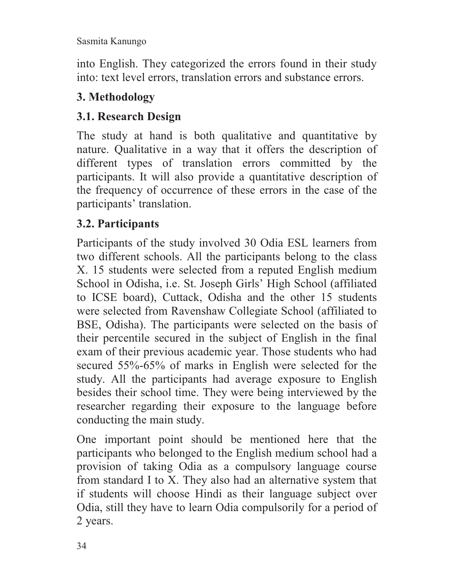into English. They categorized the errors found in their study into: text level errors, translation errors and substance errors.

#### **3. Methodology**

## **3.1. Research Design**

The study at hand is both qualitative and quantitative by nature. Qualitative in a way that it offers the description of different types of translation errors committed by the participants. It will also provide a quantitative description of the frequency of occurrence of these errors in the case of the participants' translation.

## **3.2. Participants**

Participants of the study involved 30 Odia ESL learners from two different schools. All the participants belong to the class X. 15 students were selected from a reputed English medium School in Odisha, i.e. St. Joseph Girls' High School (affiliated to ICSE board), Cuttack, Odisha and the other 15 students were selected from Ravenshaw Collegiate School (affiliated to BSE, Odisha). The participants were selected on the basis of their percentile secured in the subject of English in the final exam of their previous academic year. Those students who had secured 55%-65% of marks in English were selected for the study. All the participants had average exposure to English besides their school time. They were being interviewed by the researcher regarding their exposure to the language before conducting the main study.

One important point should be mentioned here that the participants who belonged to the English medium school had a provision of taking Odia as a compulsory language course from standard I to X. They also had an alternative system that if students will choose Hindi as their language subject over Odia, still they have to learn Odia compulsorily for a period of 2 years.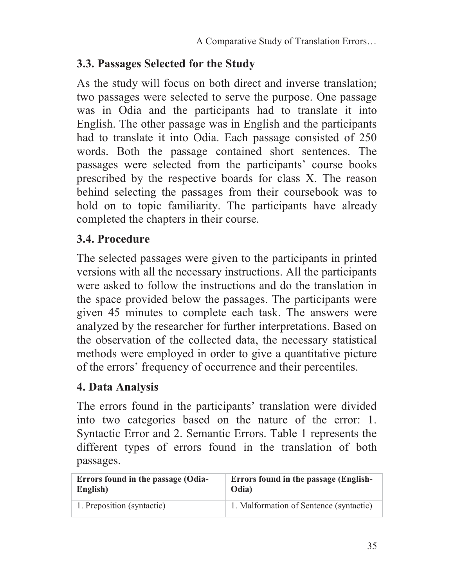## **3.3. Passages Selected for the Study**

As the study will focus on both direct and inverse translation; two passages were selected to serve the purpose. One passage was in Odia and the participants had to translate it into English. The other passage was in English and the participants had to translate it into Odia. Each passage consisted of 250 words. Both the passage contained short sentences. The passages were selected from the participants' course books prescribed by the respective boards for class X. The reason behind selecting the passages from their coursebook was to hold on to topic familiarity. The participants have already completed the chapters in their course.

#### **3.4. Procedure**

The selected passages were given to the participants in printed versions with all the necessary instructions. All the participants were asked to follow the instructions and do the translation in the space provided below the passages. The participants were given 45 minutes to complete each task. The answers were analyzed by the researcher for further interpretations. Based on the observation of the collected data, the necessary statistical methods were employed in order to give a quantitative picture of the errors' frequency of occurrence and their percentiles.

#### **4. Data Analysis**

The errors found in the participants' translation were divided into two categories based on the nature of the error: 1. Syntactic Error and 2. Semantic Errors. Table 1 represents the different types of errors found in the translation of both passages.

| Errors found in the passage (Odia- | <b>Errors found in the passage (English-</b> |  |
|------------------------------------|----------------------------------------------|--|
| English)                           | Odia)                                        |  |
| 1. Preposition (syntactic)         | 1. Malformation of Sentence (syntactic)      |  |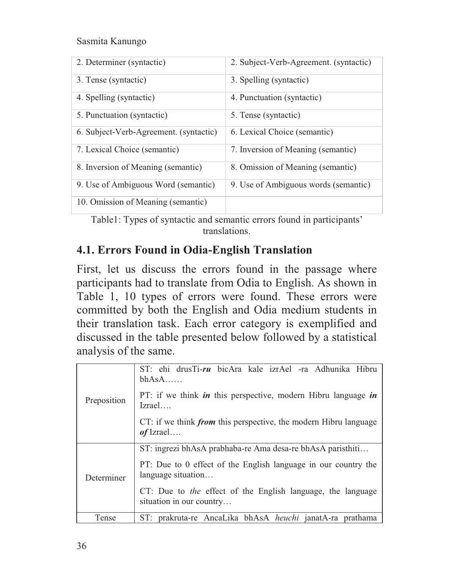| 2. Determiner (syntactic)              | 2. Subject-Verb-Agreement. (syntactic) |
|----------------------------------------|----------------------------------------|
| 3. Tense (syntactic)                   | 3. Spelling (syntactic)                |
| 4. Spelling (syntactic)                | 4. Punctuation (syntactic)             |
| 5. Punctuation (syntactic)             | 5. Tense (syntactic)                   |
| 6. Subject-Verb-Agreement. (syntactic) | 6. Lexical Choice (semantic)           |
| 7. Lexical Choice (semantic)           | 7. Inversion of Meaning (semantic)     |
| 8. Inversion of Meaning (semantic)     | 8. Omission of Meaning (semantic)      |
| 9. Use of Ambiguous Word (semantic)    | 9. Use of Ambiguous words (semantic)   |
| 10. Omission of Meaning (semantic)     |                                        |

Table1: Types of syntactic and semantic errors found in participants' translations.

#### **4.1. Errors Found in Odia-English Translation**

First, let us discuss the errors found in the passage where participants had to translate from Odia to English. As shown in Table 1, 10 types of errors were found. These errors were committed by both the English and Odia medium students in their translation task. Each error category is exemplified and discussed in the table presented below followed by a statistical analysis of the same.

| Preposition | ST: ehi drusTi-ru bicAra kale izrAel -ra Adhunika Hibru<br>$bhAsA$                                                     |  |
|-------------|------------------------------------------------------------------------------------------------------------------------|--|
|             | PT: if we think $\boldsymbol{i}$ <i>in</i> this perspective, modern Hibru language $\boldsymbol{i}$ <i>n</i><br>Izrael |  |
|             | CT: if we think <i>from</i> this perspective, the modern Hibru language<br>$of$ Izrael                                 |  |
|             | ST: ingrezi bhAsA prabhaba-re Ama desa-re bhAsA paristhiti                                                             |  |
| Determiner  | PT: Due to 0 effect of the English language in our country the<br>language situation                                   |  |
|             | CT: Due to <i>the</i> effect of the English language, the language<br>situation in our country                         |  |
| Tense       | ST: prakruta-re AncaLika bhAsA <i>heuchi</i> janatA-ra prathama                                                        |  |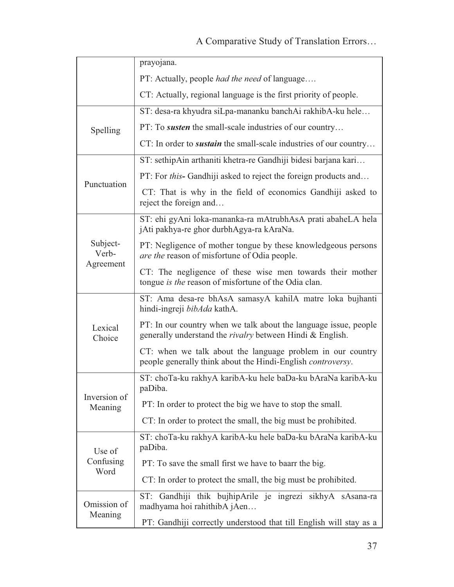|                                | prayojana.                                                                                                                           |  |
|--------------------------------|--------------------------------------------------------------------------------------------------------------------------------------|--|
|                                | PT: Actually, people <i>had the need</i> of language                                                                                 |  |
|                                | CT: Actually, regional language is the first priority of people.                                                                     |  |
|                                | ST: desa-ra khyudra siLpa-mananku banchAi rakhibA-ku hele                                                                            |  |
| Spelling                       | PT: To <i>susten</i> the small-scale industries of our country                                                                       |  |
|                                | CT: In order to <i>sustain</i> the small-scale industries of our country                                                             |  |
|                                | ST: sethipAin arthaniti khetra-re Gandhiji bidesi barjana kari                                                                       |  |
| Punctuation                    | PT: For this- Gandhiji asked to reject the foreign products and                                                                      |  |
|                                | CT: That is why in the field of economics Gandhiji asked to<br>reject the foreign and                                                |  |
|                                | ST: ehi gyAni loka-mananka-ra mAtrubhAsA prati abaheLA hela<br>jAti pakhya-re ghor durbhAgya-ra kAraNa.                              |  |
| Subject-<br>Verb-<br>Agreement | PT: Negligence of mother tongue by these knowledgeous persons<br>are the reason of misfortune of Odia people.                        |  |
|                                | CT: The negligence of these wise men towards their mother<br>tongue is the reason of misfortune of the Odia clan.                    |  |
|                                | ST: Ama desa-re bhAsA samasyA kahilA matre loka bujhanti<br>hindi-ingreji bibAda kathA.                                              |  |
| Lexical<br>Choice              | PT: In our country when we talk about the language issue, people<br>generally understand the <i>rivalry</i> between Hindi & English. |  |
|                                | CT: when we talk about the language problem in our country<br>people generally think about the Hindi-English controversy.            |  |
|                                | ST: choTa-ku rakhyA karibA-ku hele baDa-ku bAraNa karibA-ku<br>paDiba.                                                               |  |
| Inversion of<br>Meaning        | PT: In order to protect the big we have to stop the small.                                                                           |  |
|                                | CT: In order to protect the small, the big must be prohibited.                                                                       |  |
| Use of                         | ST: choTa-ku rakhyA karibA-ku hele baDa-ku bAraNa karibA-ku<br>paDiba.                                                               |  |
| Confusing<br>Word              | PT: To save the small first we have to baarr the big.                                                                                |  |
|                                | CT: In order to protect the small, the big must be prohibited.                                                                       |  |
| Omission of                    | ST: Gandhiji thik bujhipArile je ingrezi sikhyA sAsana-ra<br>madhyama hoi rahithibA jAen                                             |  |
| Meaning                        | PT: Gandhiji correctly understood that till English will stay as a                                                                   |  |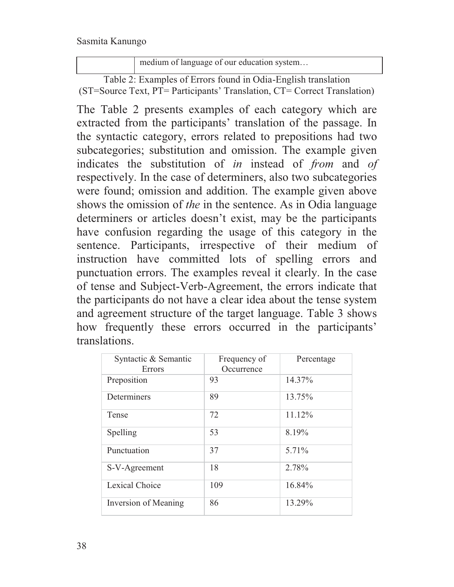medium of language of our education system…

Table 2: Examples of Errors found in Odia-English translation (ST=Source Text, PT= Participants' Translation, CT= Correct Translation)

The Table 2 presents examples of each category which are extracted from the participants' translation of the passage. In the syntactic category, errors related to prepositions had two subcategories; substitution and omission. The example given indicates the substitution of *in* instead of *from* and *of* respectively. In the case of determiners, also two subcategories were found; omission and addition. The example given above shows the omission of *the* in the sentence. As in Odia language determiners or articles doesn't exist, may be the participants have confusion regarding the usage of this category in the sentence. Participants, irrespective of their medium of instruction have committed lots of spelling errors and punctuation errors. The examples reveal it clearly. In the case of tense and Subject-Verb-Agreement, the errors indicate that the participants do not have a clear idea about the tense system and agreement structure of the target language. Table 3 shows how frequently these errors occurred in the participants' translations.

| Syntactic & Semantic<br>Errors | Frequency of<br>Occurrence | Percentage |
|--------------------------------|----------------------------|------------|
| Preposition                    | 93                         | 14.37%     |
| Determiners                    | 89                         | 13.75%     |
| Tense                          | 72                         | 11.12%     |
| Spelling                       | 53                         | 8.19%      |
| Punctuation                    | 37                         | 5.71%      |
| S-V-Agreement                  | 18                         | 2.78%      |
| Lexical Choice                 | 109                        | 16.84%     |
| Inversion of Meaning           | 86                         | 13.29%     |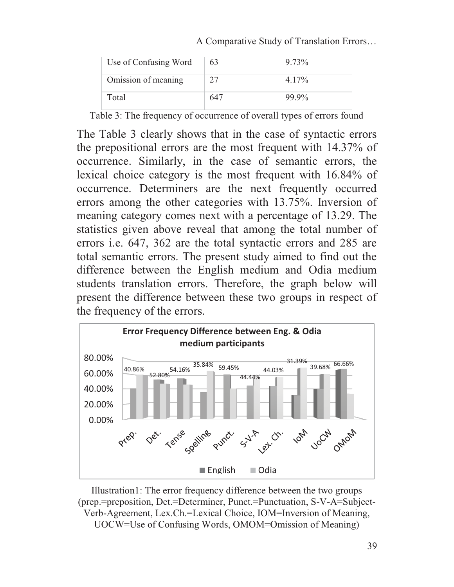A Comparative Study of Translation Errors…

| Use of Confusing Word | 63  | $9.73\%$ |
|-----------------------|-----|----------|
| Omission of meaning   | 27  | $4.17\%$ |
| Total                 | 647 | 99.9%    |

Table 3: The frequency of occurrence of overall types of errors found

The Table 3 clearly shows that in the case of syntactic errors the prepositional errors are the most frequent with 14.37% of occurrence. Similarly, in the case of semantic errors, the lexical choice category is the most frequent with 16.84% of occurrence. Determiners are the next frequently occurred errors among the other categories with 13.75%. Inversion of meaning category comes next with a percentage of 13.29. The statistics given above reveal that among the total number of errors i.e. 647, 362 are the total syntactic errors and 285 are total semantic errors. The present study aimed to find out the difference between the English medium and Odia medium students translation errors. Therefore, the graph below will present the difference between these two groups in respect of the frequency of the errors.



Illustration1: The error frequency difference between the two groups (prep.=preposition, Det.=Determiner, Punct.=Punctuation, S-V-A=Subject-Verb-Agreement, Lex.Ch.=Lexical Choice, IOM=Inversion of Meaning, UOCW=Use of Confusing Words, OMOM=Omission of Meaning)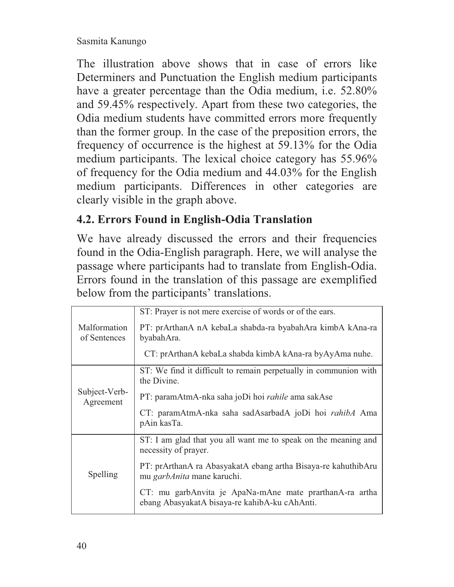The illustration above shows that in case of errors like Determiners and Punctuation the English medium participants have a greater percentage than the Odia medium, i.e. 52.80% and 59.45% respectively. Apart from these two categories, the Odia medium students have committed errors more frequently than the former group. In the case of the preposition errors, the frequency of occurrence is the highest at 59.13% for the Odia medium participants. The lexical choice category has 55.96% of frequency for the Odia medium and 44.03% for the English medium participants. Differences in other categories are clearly visible in the graph above.

# **4.2. Errors Found in English-Odia Translation**

We have already discussed the errors and their frequencies found in the Odia-English paragraph. Here, we will analyse the passage where participants had to translate from English-Odia. Errors found in the translation of this passage are exemplified below from the participants' translations.

|                              | ST: Prayer is not mere exercise of words or of the ears.                                                 |
|------------------------------|----------------------------------------------------------------------------------------------------------|
| Malformation<br>of Sentences | PT: prArthanA nA kebaLa shabda-ra byabahAra kimbA kAna-ra<br>byabahAra.                                  |
|                              | CT: prArthanA kebaLa shabda kimbA kAna-ra byAyAma nuhe.                                                  |
|                              | ST: We find it difficult to remain perpetually in communion with<br>the Divine.                          |
| Subject-Verb-<br>Agreement   | PT: paramAtmA-nka saha joDi hoi <i>rahile</i> ama sakAse                                                 |
|                              | CT: paramAtmA-nka saha sadAsarbadA joDi hoi <i>rahibA</i> Ama<br>pAin kasTa.                             |
|                              | ST: I am glad that you all want me to speak on the meaning and<br>necessity of prayer.                   |
| Spelling                     | PT: prArthanA ra AbasyakatA ebang artha Bisaya-re kahuthibAru<br>mu garbAnita mane karuchi.              |
|                              | CT: mu garbAnvita je ApaNa-mAne mate prarthanA-ra artha<br>ebang AbasyakatA bisaya-re kahibA-ku cAhAnti. |
|                              |                                                                                                          |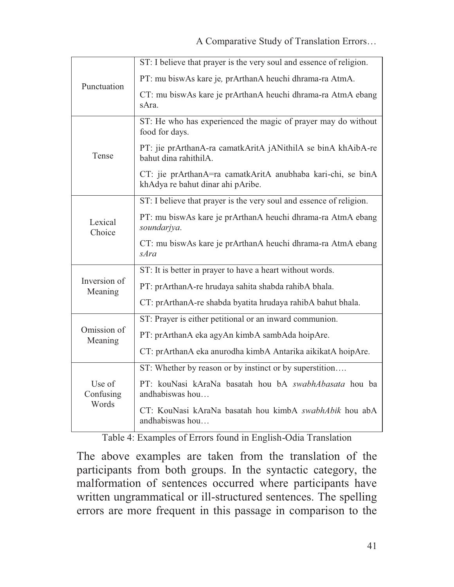| Punctuation                  | ST: I believe that prayer is the very soul and essence of religion.                              |  |
|------------------------------|--------------------------------------------------------------------------------------------------|--|
|                              | PT: mu biswAs kare je, prArthanA heuchi dhrama-ra AtmA.                                          |  |
|                              | CT: mu biswAs kare je prArthanA heuchi dhrama-ra AtmA ebang<br>sAra.                             |  |
|                              | ST: He who has experienced the magic of prayer may do without<br>food for days.                  |  |
| Tense                        | PT: jie prArthanA-ra camatkAritA jANithilA se binA khAibA-re<br>bahut dina rahithilA.            |  |
|                              | CT: jie prArthanA=ra camatkAritA anubhaba kari-chi, se binA<br>khAdya re bahut dinar ahi pAribe. |  |
| Lexical<br>Choice            | ST: I believe that prayer is the very soul and essence of religion.                              |  |
|                              | PT: mu biswAs kare je prArthanA heuchi dhrama-ra AtmA ebang<br>soundarjya.                       |  |
|                              | CT: mu biswAs kare je prArthanA heuchi dhrama-ra AtmA ebang<br>sAra                              |  |
|                              | ST: It is better in prayer to have a heart without words.                                        |  |
| Inversion of<br>Meaning      | PT: prArthanA-re hrudaya sahita shabda rahibA bhala.                                             |  |
|                              | CT: prArthanA-re shabda byatita hrudaya rahibA bahut bhala.                                      |  |
|                              | ST: Prayer is either petitional or an inward communion.                                          |  |
| Omission of<br>Meaning       | PT: prArthanA eka agyAn kimbA sambAda hoipAre.                                                   |  |
|                              | CT: prArthanA eka anurodha kimbA Antarika aikikatA hoipAre.                                      |  |
|                              | ST: Whether by reason or by instinct or by superstition                                          |  |
| Use of<br>Confusing<br>Words | PT: kouNasi kAraNa basatah hou bA swabhAbasata hou ba<br>andhabiswas hou                         |  |
|                              | CT: KouNasi kAraNa basatah hou kimbA swabhAbik hou abA<br>andhabiswas hou                        |  |

Table 4: Examples of Errors found in English-Odia Translation

The above examples are taken from the translation of the participants from both groups. In the syntactic category, the malformation of sentences occurred where participants have written ungrammatical or ill-structured sentences. The spelling errors are more frequent in this passage in comparison to the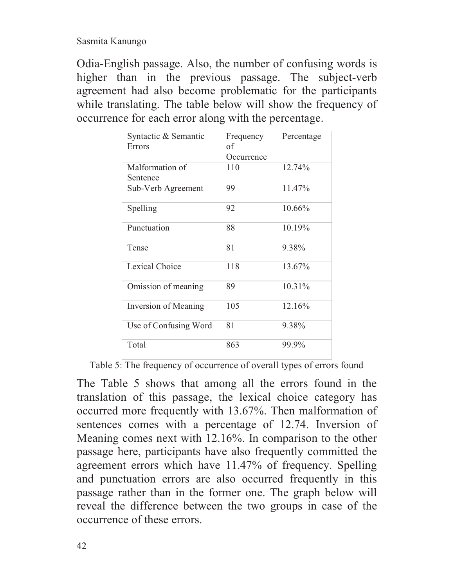Odia-English passage. Also, the number of confusing words is higher than in the previous passage. The subject-verb agreement had also become problematic for the participants while translating. The table below will show the frequency of occurrence for each error along with the percentage.

| Syntactic & Semantic<br>Errors | Frequency<br>of<br>Occurrence | Percentage |
|--------------------------------|-------------------------------|------------|
| Malformation of<br>Sentence    | 110                           | 12.74%     |
| Sub-Verb Agreement             | 99                            | 11.47%     |
| Spelling                       | 92                            | 10.66%     |
| Punctuation                    | 88                            | 10.19%     |
| Tense                          | 81                            | 9.38%      |
| <b>Lexical Choice</b>          | 118                           | 13.67%     |
| Omission of meaning            | 89                            | 10.31%     |
| Inversion of Meaning           | 105                           | $12.16\%$  |
| Use of Confusing Word          | 81                            | 9.38%      |
| Total                          | 863                           | 99.9%      |

Table 5: The frequency of occurrence of overall types of errors found

The Table 5 shows that among all the errors found in the translation of this passage, the lexical choice category has occurred more frequently with 13.67%. Then malformation of sentences comes with a percentage of 12.74. Inversion of Meaning comes next with 12.16%. In comparison to the other passage here, participants have also frequently committed the agreement errors which have 11.47% of frequency. Spelling and punctuation errors are also occurred frequently in this passage rather than in the former one. The graph below will reveal the difference between the two groups in case of the occurrence of these errors.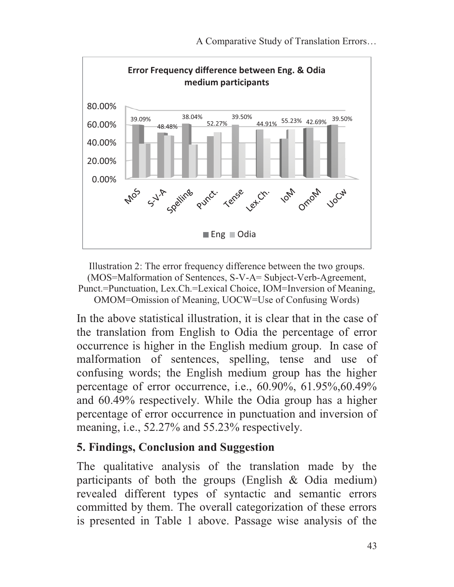

Illustration 2: The error frequency difference between the two groups. (MOS=Malformation of Sentences, S-V-A= Subject-Verb-Agreement, Punct.=Punctuation, Lex.Ch.=Lexical Choice, IOM=Inversion of Meaning, OMOM=Omission of Meaning, UOCW=Use of Confusing Words)

In the above statistical illustration, it is clear that in the case of the translation from English to Odia the percentage of error occurrence is higher in the English medium group. In case of malformation of sentences, spelling, tense and use of confusing words; the English medium group has the higher percentage of error occurrence, i.e., 60.90%, 61.95%,60.49% and 60.49% respectively. While the Odia group has a higher percentage of error occurrence in punctuation and inversion of meaning, i.e., 52.27% and 55.23% respectively.

#### **5. Findings, Conclusion and Suggestion**

The qualitative analysis of the translation made by the participants of both the groups (English & Odia medium) revealed different types of syntactic and semantic errors committed by them. The overall categorization of these errors is presented in Table 1 above. Passage wise analysis of the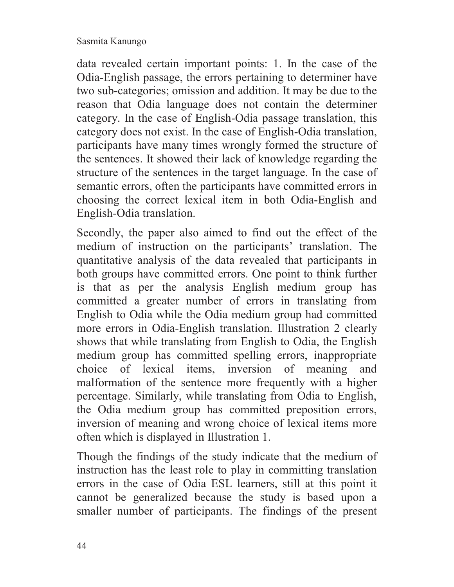data revealed certain important points: 1. In the case of the Odia-English passage, the errors pertaining to determiner have two sub-categories; omission and addition. It may be due to the reason that Odia language does not contain the determiner category. In the case of English-Odia passage translation, this category does not exist. In the case of English-Odia translation, participants have many times wrongly formed the structure of the sentences. It showed their lack of knowledge regarding the structure of the sentences in the target language. In the case of semantic errors, often the participants have committed errors in choosing the correct lexical item in both Odia-English and English-Odia translation.

Secondly, the paper also aimed to find out the effect of the medium of instruction on the participants' translation. The quantitative analysis of the data revealed that participants in both groups have committed errors. One point to think further is that as per the analysis English medium group has committed a greater number of errors in translating from English to Odia while the Odia medium group had committed more errors in Odia-English translation. Illustration 2 clearly shows that while translating from English to Odia, the English medium group has committed spelling errors, inappropriate choice of lexical items, inversion of meaning and malformation of the sentence more frequently with a higher percentage. Similarly, while translating from Odia to English, the Odia medium group has committed preposition errors, inversion of meaning and wrong choice of lexical items more often which is displayed in Illustration 1.

Though the findings of the study indicate that the medium of instruction has the least role to play in committing translation errors in the case of Odia ESL learners, still at this point it cannot be generalized because the study is based upon a smaller number of participants. The findings of the present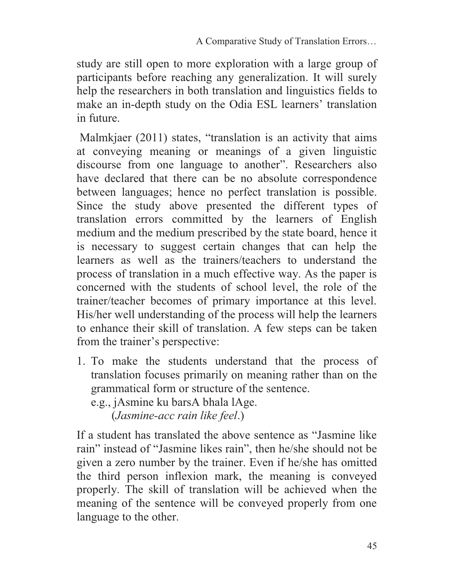study are still open to more exploration with a large group of participants before reaching any generalization. It will surely help the researchers in both translation and linguistics fields to make an in-depth study on the Odia ESL learners' translation in future.

Malmkjaer (2011) states, "translation is an activity that aims at conveying meaning or meanings of a given linguistic discourse from one language to another". Researchers also have declared that there can be no absolute correspondence between languages; hence no perfect translation is possible. Since the study above presented the different types of translation errors committed by the learners of English medium and the medium prescribed by the state board, hence it is necessary to suggest certain changes that can help the learners as well as the trainers/teachers to understand the process of translation in a much effective way. As the paper is concerned with the students of school level, the role of the trainer/teacher becomes of primary importance at this level. His/her well understanding of the process will help the learners to enhance their skill of translation. A few steps can be taken from the trainer's perspective:

1. To make the students understand that the process of translation focuses primarily on meaning rather than on the grammatical form or structure of the sentence. e.g., jAsmine ku barsA bhala lAge.

(*Jasmine-acc rain like feel*.)

If a student has translated the above sentence as "Jasmine like rain" instead of "Jasmine likes rain", then he/she should not be given a zero number by the trainer. Even if he/she has omitted the third person inflexion mark, the meaning is conveyed properly. The skill of translation will be achieved when the meaning of the sentence will be conveyed properly from one language to the other.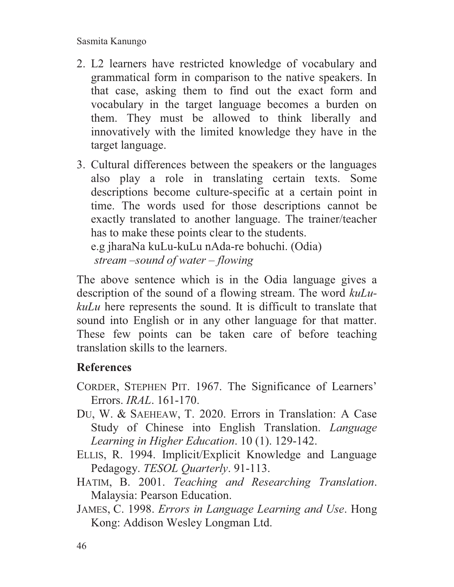- 2. L2 learners have restricted knowledge of vocabulary and grammatical form in comparison to the native speakers. In that case, asking them to find out the exact form and vocabulary in the target language becomes a burden on them. They must be allowed to think liberally and innovatively with the limited knowledge they have in the target language.
- 3. Cultural differences between the speakers or the languages also play a role in translating certain texts. Some descriptions become culture-specific at a certain point in time. The words used for those descriptions cannot be exactly translated to another language. The trainer/teacher has to make these points clear to the students.

e.g jharaNa kuLu-kuLu nAda-re bohuchi. (Odia) *stream –sound of water – flowing* 

The above sentence which is in the Odia language gives a description of the sound of a flowing stream. The word *kuLukuLu* here represents the sound. It is difficult to translate that sound into English or in any other language for that matter. These few points can be taken care of before teaching translation skills to the learners.

# **References**

- CORDER, STEPHEN PIT. 1967. The Significance of Learners' Errors. *IRAL*. 161-170.
- DU, W. & SAEHEAW, T. 2020. Errors in Translation: A Case Study of Chinese into English Translation. *Language Learning in Higher Education*. 10 (1). 129-142.
- ELLIS, R. 1994. Implicit/Explicit Knowledge and Language Pedagogy. *TESOL Quarterly*. 91-113.
- HATIM, B. 2001. *Teaching and Researching Translation*. Malaysia: Pearson Education.
- JAMES, C. 1998. *Errors in Language Learning and Use*. Hong Kong: Addison Wesley Longman Ltd.